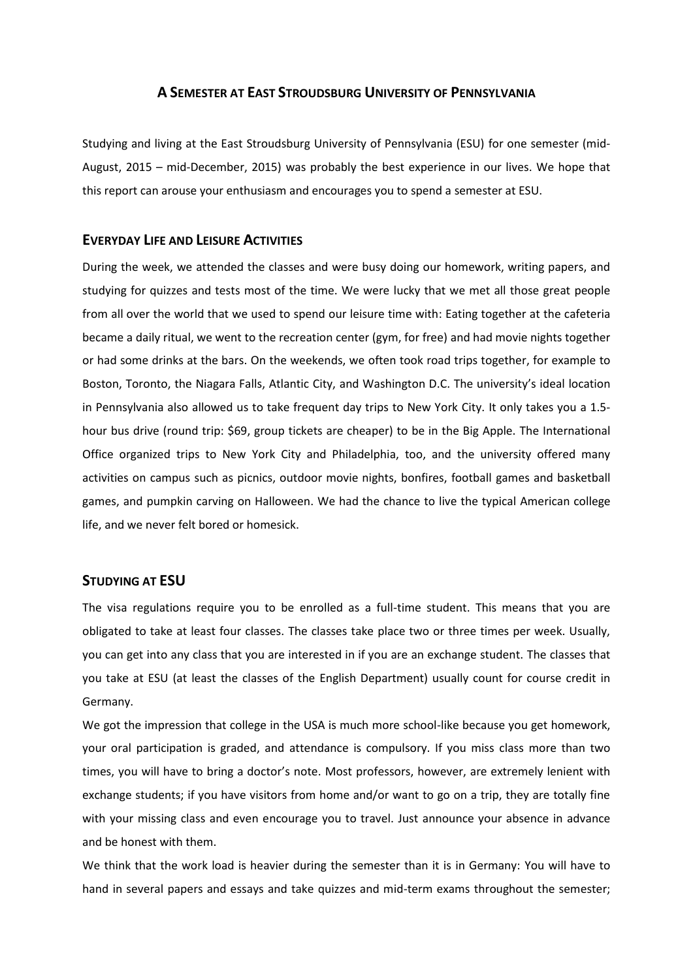## **A SEMESTER AT EAST STROUDSBURG UNIVERSITY OF PENNSYLVANIA**

Studying and living at the East Stroudsburg University of Pennsylvania (ESU) for one semester (mid-August, 2015 – mid-December, 2015) was probably the best experience in our lives. We hope that this report can arouse your enthusiasm and encourages you to spend a semester at ESU.

## **EVERYDAY LIFE AND LEISURE ACTIVITIES**

During the week, we attended the classes and were busy doing our homework, writing papers, and studying for quizzes and tests most of the time. We were lucky that we met all those great people from all over the world that we used to spend our leisure time with: Eating together at the cafeteria became a daily ritual, we went to the recreation center (gym, for free) and had movie nights together or had some drinks at the bars. On the weekends, we often took road trips together, for example to Boston, Toronto, the Niagara Falls, Atlantic City, and Washington D.C. The university's ideal location in Pennsylvania also allowed us to take frequent day trips to New York City. It only takes you a 1.5 hour bus drive (round trip: \$69, group tickets are cheaper) to be in the Big Apple. The International Office organized trips to New York City and Philadelphia, too, and the university offered many activities on campus such as picnics, outdoor movie nights, bonfires, football games and basketball games, and pumpkin carving on Halloween. We had the chance to live the typical American college life, and we never felt bored or homesick.

# **STUDYING AT ESU**

The visa regulations require you to be enrolled as a full-time student. This means that you are obligated to take at least four classes. The classes take place two or three times per week. Usually, you can get into any class that you are interested in if you are an exchange student. The classes that you take at ESU (at least the classes of the English Department) usually count for course credit in Germany.

We got the impression that college in the USA is much more school-like because you get homework, your oral participation is graded, and attendance is compulsory. If you miss class more than two times, you will have to bring a doctor's note. Most professors, however, are extremely lenient with exchange students; if you have visitors from home and/or want to go on a trip, they are totally fine with your missing class and even encourage you to travel. Just announce your absence in advance and be honest with them.

We think that the work load is heavier during the semester than it is in Germany: You will have to hand in several papers and essays and take quizzes and mid-term exams throughout the semester;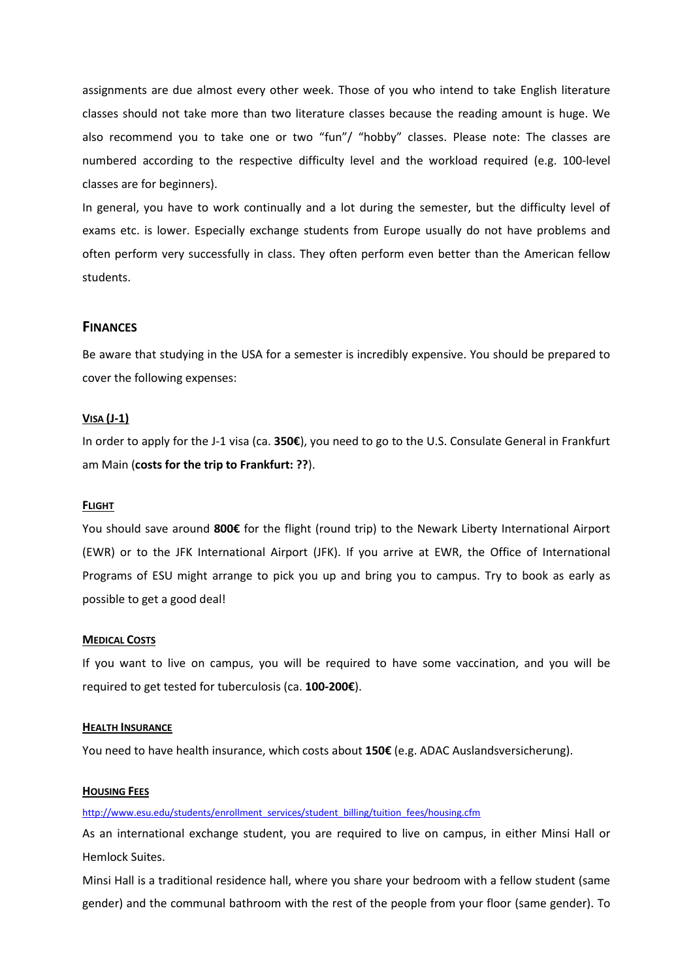assignments are due almost every other week. Those of you who intend to take English literature classes should not take more than two literature classes because the reading amount is huge. We also recommend you to take one or two "fun"/ "hobby" classes. Please note: The classes are numbered according to the respective difficulty level and the workload required (e.g. 100-level classes are for beginners).

In general, you have to work continually and a lot during the semester, but the difficulty level of exams etc. is lower. Especially exchange students from Europe usually do not have problems and often perform very successfully in class. They often perform even better than the American fellow students.

# **FINANCES**

Be aware that studying in the USA for a semester is incredibly expensive. You should be prepared to cover the following expenses:

#### **VISA (J-1)**

In order to apply for the J-1 visa (ca. **350€**), you need to go to the U.S. Consulate General in Frankfurt am Main (**costs for the trip to Frankfurt: ??**).

### **FLIGHT**

You should save around **800€** for the flight (round trip) to the Newark Liberty International Airport (EWR) or to the JFK International Airport (JFK). If you arrive at EWR, the Office of International Programs of ESU might arrange to pick you up and bring you to campus. Try to book as early as possible to get a good deal!

#### **MEDICAL COSTS**

If you want to live on campus, you will be required to have some vaccination, and you will be required to get tested for tuberculosis (ca. **100-200€**).

#### **HEALTH INSURANCE**

You need to have health insurance, which costs about **150€** (e.g. ADAC Auslandsversicherung).

### **HOUSING FEES**

[http://www.esu.edu/students/enrollment\\_services/student\\_billing/tuition\\_fees/housing.cfm](http://www.esu.edu/students/enrollment_services/student_billing/tuition_fees/housing.cfm)

As an international exchange student, you are required to live on campus, in either Minsi Hall or Hemlock Suites.

Minsi Hall is a traditional residence hall, where you share your bedroom with a fellow student (same gender) and the communal bathroom with the rest of the people from your floor (same gender). To